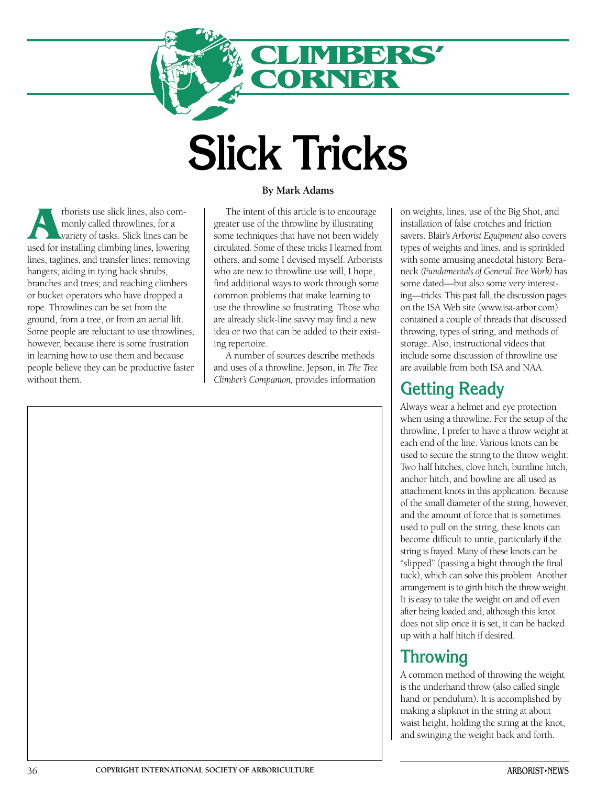

# **Slick Tricks**

**A**rborists use slick lines, also commonly called throwlines, for a variety of tasks. Slick lines can be used for installing climbing lines, lowering lines, taglines, and transfer lines; removing hangers; aiding in tying back shrubs, branches and trees; and reaching climbers or bucket operators who have dropped a rope. Throwlines can be set from the ground, from a tree, or from an aerial lift. Some people are reluctant to use throwlines, however, because there is some frustration in learning how to use them and because people believe they can be productive faster without them.

#### **By Mark Adams**

The intent of this article is to encourage greater use of the throwline by illustrating some techniques that have not been widely circulated. Some of these tricks I learned from others, and some I devised myself. Arborists who are new to throwline use will, I hope, find additional ways to work through some common problems that make learning to use the throwline so frustrating. Those who are already slick-line savvy may find a new idea or two that can be added to their existing repertoire.

A number of sources describe methods and uses of a throwline. Jepson, in *The Tree Climber's Companion,* provides information

on weights, lines, use of the Big Shot, and installation of false crotches and friction savers. Blair's *Arborist Equipment* also covers types of weights and lines, and is sprinkled with some amusing anecdotal history. Beraneck *(Fundamentals of General Tree Work)* has some dated—but also some very interesting—tricks. This past fall, the discussion pages on the ISA Web site (www.isa-arbor.com) contained a couple of threads that discussed throwing, types of string, and methods of storage. Also, instructional videos that include some discussion of throwline use are available from both ISA and NAA.

## **Getting Ready**

Always wear a helmet and eye protection when using a throwline. For the setup of the throwline, I prefer to have a throw weight at each end of the line. Various knots can be used to secure the string to the throw weight: Two half hitches, clove hitch, buntline hitch, anchor hitch, and bowline are all used as attachment knots in this application. Because of the small diameter of the string, however, and the amount of force that is sometimes used to pull on the string, these knots can become difficult to untie, particularly if the string is frayed. Many of these knots can be "slipped" (passing a bight through the final tuck), which can solve this problem. Another arrangement is to girth hitch the throw weight. It is easy to take the weight on and off even after being loaded and, although this knot does not slip once it is set, it can be backed up with a half hitch if desired.

## **Throwing**

A common method of throwing the weight is the underhand throw (also called single hand or pendulum). It is accomplished by making a slipknot in the string at about waist height, holding the string at the knot, and swinging the weight back and forth.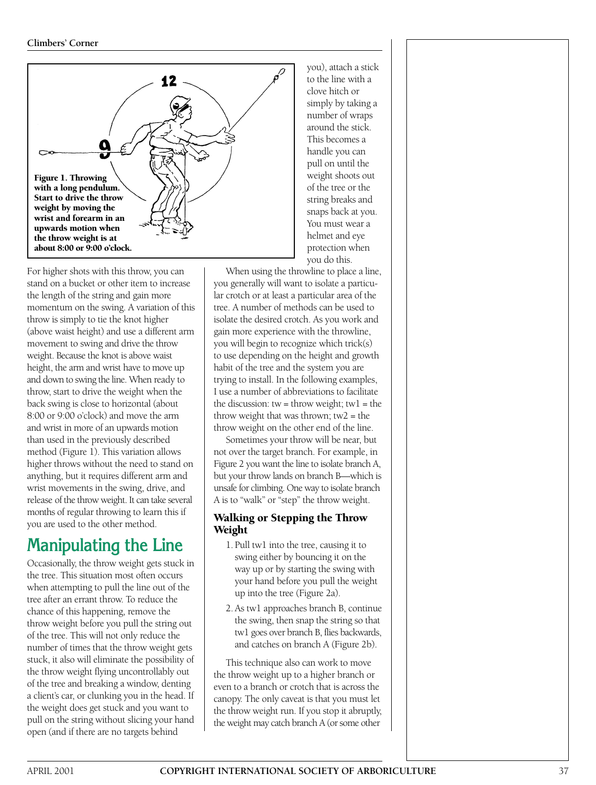

For higher shots with this throw, you can stand on a bucket or other item to increase the length of the string and gain more momentum on the swing. A variation of this throw is simply to tie the knot higher (above waist height) and use a different arm movement to swing and drive the throw weight. Because the knot is above waist height, the arm and wrist have to move up and down to swing the line. When ready to throw, start to drive the weight when the back swing is close to horizontal (about 8:00 or 9:00 o'clock) and move the arm and wrist in more of an upwards motion than used in the previously described method (Figure 1). This variation allows higher throws without the need to stand on anything, but it requires different arm and wrist movements in the swing, drive, and release of the throw weight. It can take several months of regular throwing to learn this if you are used to the other method.

# **Manipulating the Line**

Occasionally, the throw weight gets stuck in the tree. This situation most often occurs when attempting to pull the line out of the tree after an errant throw. To reduce the chance of this happening, remove the throw weight before you pull the string out of the tree. This will not only reduce the number of times that the throw weight gets stuck, it also will eliminate the possibility of the throw weight flying uncontrollably out of the tree and breaking a window, denting a client's car, or clunking you in the head. If the weight does get stuck and you want to pull on the string without slicing your hand open (and if there are no targets behind

you), attach a stick to the line with a clove hitch or simply by taking a number of wraps around the stick. This becomes a handle you can pull on until the weight shoots out of the tree or the string breaks and snaps back at you. You must wear a helmet and eye protection when you do this.

When using the throwline to place a line, you generally will want to isolate a particular crotch or at least a particular area of the tree. A number of methods can be used to isolate the desired crotch. As you work and gain more experience with the throwline, you will begin to recognize which trick(s) to use depending on the height and growth habit of the tree and the system you are trying to install. In the following examples, I use a number of abbreviations to facilitate the discussion:  $tw =$  throw weight;  $tw1 =$  the throw weight that was thrown; tw2 = the throw weight on the other end of the line.

Sometimes your throw will be near, but not over the target branch. For example, in Figure 2 you want the line to isolate branch A, but your throw lands on branch B—which is unsafe for climbing. One way to isolate branch A is to "walk" or "step" the throw weight.

### **Walking or Stepping the Throw Weight**

- 1. Pull tw1 into the tree, causing it to swing either by bouncing it on the way up or by starting the swing with your hand before you pull the weight up into the tree (Figure 2a).
- 2. As tw1 approaches branch B, continue the swing, then snap the string so that tw1 goes over branch B, flies backwards, and catches on branch A (Figure 2b).

This technique also can work to move the throw weight up to a higher branch or even to a branch or crotch that is across the canopy. The only caveat is that you must let the throw weight run. If you stop it abruptly, the weight may catch branch A (or some other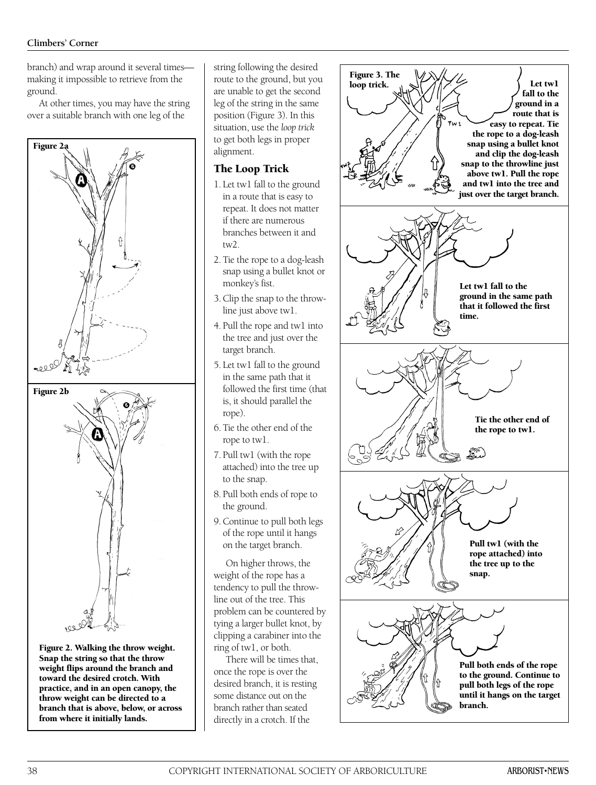branch) and wrap around it several times making it impossible to retrieve from the ground.

At other times, you may have the string over a suitable branch with one leg of the



**Figure 2. Walking the throw weight. Snap the string so that the throw weight flips around the branch and toward the desired crotch. With practice, and in an open canopy, the throw weight can be directed to a branch that is above, below, or across from where it initially lands.**

string following the desired route to the ground, but you are unable to get the second leg of the string in the same position (Figure 3). In this situation, use the *loop trick* to get both legs in proper alignment.

## **The Loop Trick**

- 1. Let tw1 fall to the ground in a route that is easy to repeat. It does not matter if there are numerous branches between it and tw2.
- 2. Tie the rope to a dog-leash snap using a bullet knot or monkey's fist.
- 3. Clip the snap to the throwline just above tw1.
- 4. Pull the rope and tw1 into the tree and just over the target branch.
- 5. Let tw1 fall to the ground in the same path that it followed the first time (that is, it should parallel the rope).
- 6. Tie the other end of the rope to tw1.
- 7. Pull tw1 (with the rope attached) into the tree up to the snap.
- 8. Pull both ends of rope to the ground.
- 9.Continue to pull both legs of the rope until it hangs on the target branch.

On higher throws, the weight of the rope has a tendency to pull the throwline out of the tree. This problem can be countered by tying a larger bullet knot, by clipping a carabiner into the ring of tw1, or both.

There will be times that, once the rope is over the desired branch, it is resting some distance out on the branch rather than seated directly in a crotch. If the

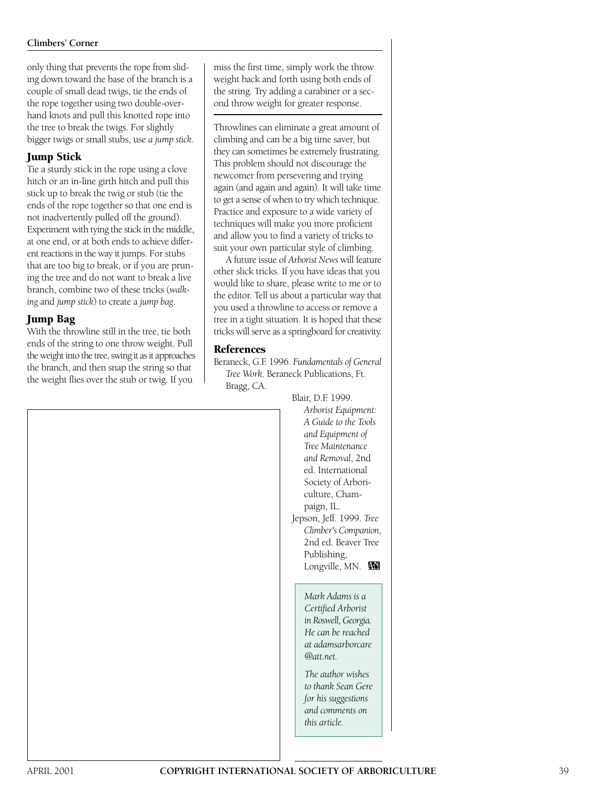only thing that prevents the rope from sliding down toward the base of the branch is a couple of small dead twigs, tie the ends of the rope together using two double-overhand knots and pull this knotted rope into the tree to break the twigs. For slightly bigger twigs or small stubs, use *a jump stick*.

## **Jump Stick**

Tie a sturdy stick in the rope using a clove hitch or an in-line girth hitch and pull this stick up to break the twig or stub (tie the ends of the rope together so that one end is not inadvertently pulled off the ground). Experiment with tying the stick in the middle, at one end, or at both ends to achieve different reactions in the way it jumps. For stubs that are too big to break, or if you are pruning the tree and do not want to break a live branch, combine two of these tricks (*walking* and *jump stick*) to create a *jump bag*.

## **Jump Bag**

With the throwline still in the tree, tie both ends of the string to one throw weight. Pull the weight into the tree, swing it as it approaches the branch, and then snap the string so that the weight flies over the stub or twig. If you

miss the first time, simply work the throw weight back and forth using both ends of the string. Try adding a carabiner or a second throw weight for greater response.

Throwlines can eliminate a great amount of climbing and can be a big time saver, but they can sometimes be extremely frustrating. This problem should not discourage the newcomer from persevering and trying again (and again and again). It will take time to get a sense of when to try which technique. Practice and exposure to a wide variety of techniques will make you more proficient and allow you to find a variety of tricks to suit your own particular style of climbing.

A future issue of *Arborist News* will feature other slick tricks. If you have ideas that you would like to share, please write to me or to the editor. Tell us about a particular way that you used a throwline to access or remove a tree in a tight situation. It is hoped that these tricks will serve as a springboard for creativity.

#### **References**

Beraneck, G.F. 1996. *Fundamentals of General Tree Work*. Beraneck Publications, Ft. Bragg, CA.

Blair, D.F. 1999.

*Arborist Equipment: A Guide to the Tools and Equipment of Tree Maintenance and Removal*, 2nd ed. International Society of Arboriculture, Champaign, IL. Jepson, Jeff. 1999. *Tree Climber's Companion*, 2nd ed. Beaver Tree Publishing, Longville, MN.

> *Mark Adams is a Certified Arborist in Roswell, Georgia. He can be reached at adamsarborcare @att.net.*

*The author wishes to thank Sean Gere for his suggestions and comments on this article.*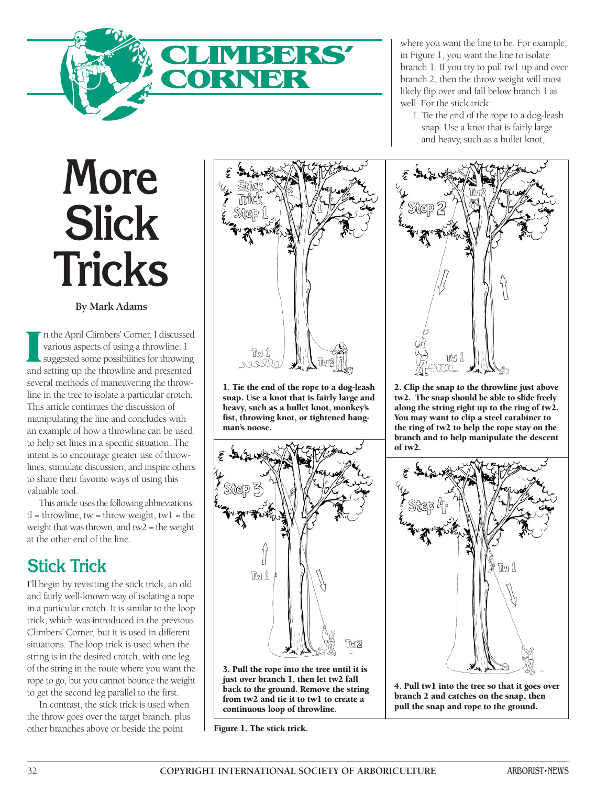

**More Slick Tricks**

**By Mark Adams**

**I n the April Climbers' Corner, I discussed various aspects of using a throwline. I suggested some possibilities for throwing and setting up the throwline and presented several methods of maneuvering the throwline in the tree to isolate a particular crotch. This article continues the discussion of manipulating the line and concludes with an example of how a throwline can be used to help set lines in a specific situation. The intent is to encourage greater use of throwlines, stimulate discussion, and inspire others to share their favorite ways of using this valuable tool.** 

**This article uses the following abbreviations: tl = throwline, tw = throw weight, tw1 = the weight that was thrown, and tw2 = the weight at the other end of the line.** 

## **Stick Trick**

**I'll begin by revisiting the stick trick, an old and fairly well-known way of isolating a rope in a particular crotch. It is similar to the loop trick, which was introduced in the previous Climbers' Corner, but it is used in different situations. The loop trick is used when the string is in the desired crotch, with one leg of the string in the route where you want the rope to go, but you cannot bounce the weight to get the second leg parallel to the first.** 

**In contrast, the stick trick is used when the throw goes over the target branch, plus other branches above or beside the point**



**1. Tie the end of the rope to a dog-leash snap. Use a knot that is fairly large and heavy, such as a bullet knot, monkey's fist, throwing knot, or tightened hangman's noose.** 



**3. Pull the rope into the tree until it is just over branch 1, then let tw2 fall back to the ground. Remove the string from tw2 and tie it to tw1 to create a continuous loop of throwline.**

**Figure 1. The stick trick.**

**where you want the line to be. For example, in Figure 1, you want the line to isolate branch 1. If you try to pull tw1 up and over branch 2, then the throw weight will most likely flip over and fall below branch 1 as well. For the stick trick:** 

**1. Tie the end of the rope to a dog-leash snap. Use a knot that is fairly large and heavy, such as a bullet knot,**



**2. Clip the snap to the throwline just above tw2. The snap should be able to slide freely along the string right up to the ring of tw2. You may want to clip a steel carabiner to the ring of tw2 to help the rope stay on the branch and to help manipulate the descent of tw2.**



**4. Pull tw1 into the tree so that it goes over branch 2 and catches on the snap, then pull the snap and rope to the ground.**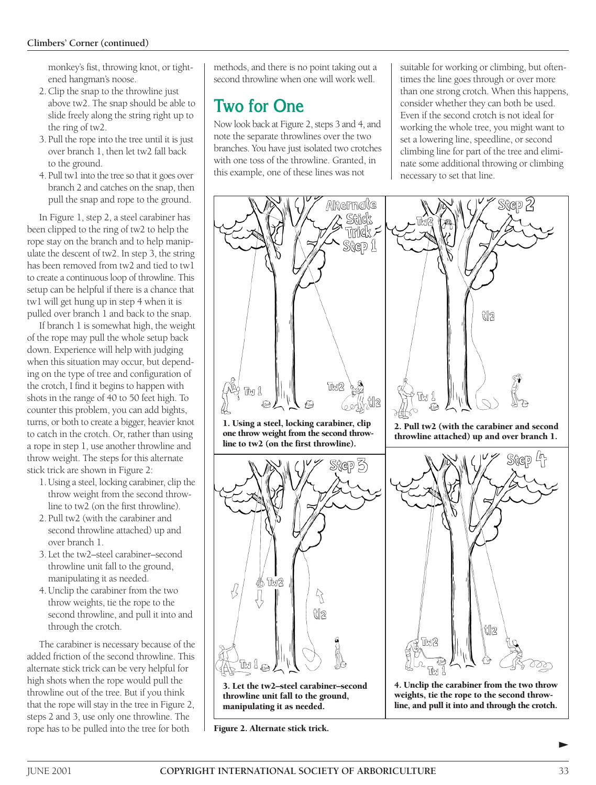**monkey's fist, throwing knot, or tightened hangman's noose.** 

- **2.Clip the snap to the throwline just above tw2. The snap should be able to slide freely along the string right up to the ring of tw2.**
- **3. Pull the rope into the tree until it is just over branch 1, then let tw2 fall back to the ground.**
- **4. Pull tw1 into the tree so that it goes over branch 2 and catches on the snap, then pull the snap and rope to the ground.**

**In Figure 1, step 2, a steel carabiner has been clipped to the ring of tw2 to help the rope stay on the branch and to help manipulate the descent of tw2. In step 3, the string has been removed from tw2 and tied to tw1 to create a continuous loop of throwline. This setup can be helpful if there is a chance that tw1 will get hung up in step 4 when it is pulled over branch 1 and back to the snap.** 

**If branch 1 is somewhat high, the weight of the rope may pull the whole setup back down. Experience will help with judging when this situation may occur, but depending on the type of tree and configuration of the crotch, I find it begins to happen with shots in the range of 40 to 50 feet high. To counter this problem, you can add bights, turns, or both to create a bigger, heavier knot to catch in the crotch. Or, rather than using a rope in step 1, use another throwline and throw weight. The steps for this alternate stick trick are shown in Figure 2:** 

- **1. Using a steel, locking carabiner, clip the throw weight from the second throwline to tw2 (on the first throwline).**
- **2. Pull tw2 (with the carabiner and second throwline attached) up and over branch 1.**
- **3. Let the tw2–steel carabiner–second throwline unit fall to the ground, manipulating it as needed.**
- **4. Unclip the carabiner from the two throw weights, tie the rope to the second throwline, and pull it into and through the crotch.**

**The carabiner is necessary because of the added friction of the second throwline. This alternate stick trick can be very helpful for high shots when the rope would pull the throwline out of the tree. But if you think that the rope will stay in the tree in Figure 2, steps 2 and 3, use only one throwline. The rope has to be pulled into the tree for both**

**methods, and there is no point taking out a second throwline when one will work well.** 

# **Two for One**

**Now look back at Figure 2, steps 3 and 4, and note the separate throwlines over the two branches. You have just isolated two crotches with one toss of the throwline. Granted, in this example, one of these lines was not**

**suitable for working or climbing, but oftentimes the line goes through or over more than one strong crotch. When this happens, consider whether they can both be used. Even if the second crotch is not ideal for working the whole tree, you might want to set a lowering line, speedline, or second climbing line for part of the tree and eliminate some additional throwing or climbing necessary to set that line.**



**Figure 2. Alternate stick trick.**

∂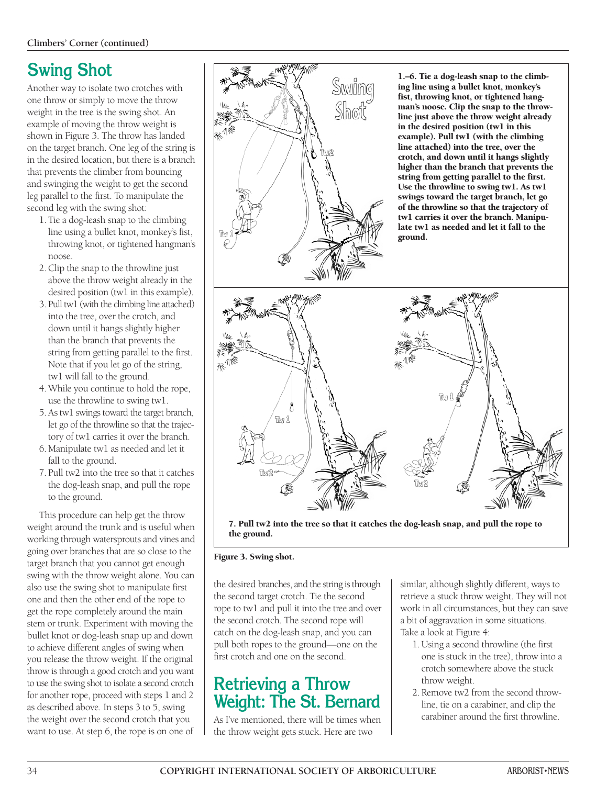# **Swing Shot**

**Another way to isolate two crotches with one throw or simply to move the throw weight in the tree is the swing shot. An example of moving the throw weight is shown in Figure 3. The throw has landed on the target branch. One leg of the string is in the desired location, but there is a branch that prevents the climber from bouncing and swinging the weight to get the second leg parallel to the first. To manipulate the second leg with the swing shot:** 

- **1. Tie a dog-leash snap to the climbing line using a bullet knot, monkey's fist, throwing knot, or tightened hangman's noose.**
- **2. Clip the snap to the throwline just above the throw weight already in the desired position (tw1 in this example).**
- **3. Pull tw1 (with the climbing line attached) into the tree, over the crotch, and down until it hangs slightly higher than the branch that prevents the string from getting parallel to the first. Note that if you let go of the string, tw1 will fall to the ground.**
- **4.While you continue to hold the rope, use the throwline to swing tw1.**
- **5.As tw1 swings toward the target branch, let go of the throwline so that the trajectory of tw1 carries it over the branch.**
- **6. Manipulate tw1 as needed and let it fall to the ground.**
- **7. Pull tw2 into the tree so that it catches the dog-leash snap, and pull the rope to the ground.**

**This procedure can help get the throw weight around the trunk and is useful when working through watersprouts and vines and going over branches that are so close to the target branch that you cannot get enough swing with the throw weight alone. You can also use the swing shot to manipulate first one and then the other end of the rope to get the rope completely around the main stem or trunk. Experiment with moving the bullet knot or dog-leash snap up and down to achieve different angles of swing when you release the throw weight. If the original throw is through a good crotch and you want to use the swing shot to isolate a second crotch for another rope, proceed with steps 1 and 2 as described above. In steps 3 to 5, swing the weight over the second crotch that you want to use. At step 6, the rope is on one of**



**7. Pull tw2 into the tree so that it catches the dog-leash snap, and pull the rope to the ground.**

#### **Figure 3. Swing shot.**

**the desired branches, and the string is through the second target crotch. Tie the second rope to tw1 and pull it into the tree and over the second crotch. The second rope will catch on the dog-leash snap, and you can pull both ropes to the ground—one on the first crotch and one on the second.** 

## **Retrieving a Throw Weight: The St. Bernard**

**As I've mentioned, there will be times when the throw weight gets stuck. Here are two**

**similar, although slightly different, ways to retrieve a stuck throw weight. They will not work in all circumstances, but they can save a bit of aggravation in some situations. Take a look at Figure 4:**

- **1. Using a second throwline (the first one is stuck in the tree), throw into a crotch somewhere above the stuck throw weight.**
- **2. Remove tw2 from the second throwline, tie on a carabiner, and clip the carabiner around the first throwline.**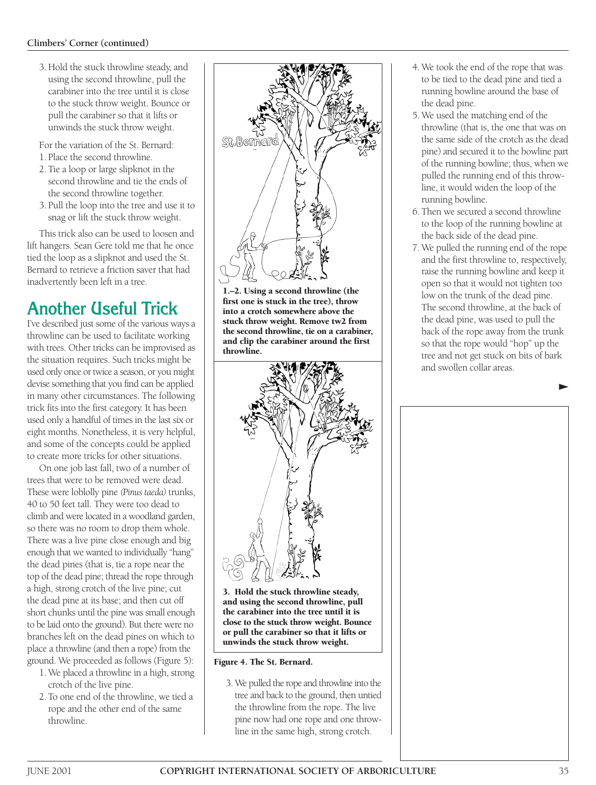#### **Climbers' Corner (continued)**

**3.Hold the stuck throwline steady, and using the second throwline, pull the carabiner into the tree until it is close to the stuck throw weight. Bounce or pull the carabiner so that it lifts or unwinds the stuck throw weight.** 

**For the variation of the St. Bernard:**

- **1. Place the second throwline.**
- **2. Tie a loop or large slipknot in the second throwline and tie the ends of the second throwline together.**
- **3. Pull the loop into the tree and use it to snag or lift the stuck throw weight.**

**This trick also can be used to loosen and lift hangers. Sean Gere told me that he once tied the loop as a slipknot and used the St. Bernard to retrieve a friction saver that had inadvertently been left in a tree.** 

# **Another Useful Trick**

**I've described just some of the various ways a throwline can be used to facilitate working with trees. Other tricks can be improvised as the situation requires. Such tricks might be used only once or twice a season, or you might devise something that you find can be applied in many other circumstances. The following trick fits into the first category. It has been used only a handful of times in the last six or eight months. Nonetheless, it is very helpful, and some of the concepts could be applied to create more tricks for other situations.**

**On one job last fall, two of a number of trees that were to be removed were dead. These were loblolly pine** *(Pinus taeda)* **trunks, 40 to 50 feet tall. They were too dead to climb and were located in a woodland garden, so there was no room to drop them whole. There was a live pine close enough and big enough that we wanted to individually "hang" the dead pines (that is, tie a rope near the top of the dead pine; thread the rope through a high, strong crotch of the live pine; cut the dead pine at its base; and then cut off short chunks until the pine was small enough to be laid onto the ground). But there were no branches left on the dead pines on which to place a throwline (and then a rope) from the ground. We proceeded as follows (Figure 5):** 

- **1. We placed a throwline in a high, strong crotch of the live pine.**
- **2.To one end of the throwline, we tied a rope and the other end of the same throwline.**



**1.–2. Using a second throwline (the first one is stuck in the tree), throw into a crotch somewhere above the stuck throw weight. Remove tw2 from the second throwline, tie on a carabiner, and clip the carabiner around the first throwline.**



**3. Hold the stuck throwline steady, and using the second throwline, pull the carabiner into the tree until it is close to the stuck throw weight. Bounce or pull the carabiner so that it lifts or unwinds the stuck throw weight.**

#### **Figure 4. The St. Bernard.**

**3. We pulled the rope and throwline into the tree and back to the ground, then untied the throwline from the rope. The live pine now had one rope and one throwline in the same high, strong crotch.** 

- **4.We took the end of the rope that was to be tied to the dead pine and tied a running bowline around the base of the dead pine.**
- **5. We used the matching end of the throwline (that is, the one that was on the same side of the crotch as the dead pine) and secured it to the bowline part of the running bowline; thus, when we pulled the running end of this throwline, it would widen the loop of the running bowline.**
- **6. Then we secured a second throwline to the loop of the running bowline at the back side of the dead pine.**
- **7. We pulled the running end of the rope and the first throwline to, respectively, raise the running bowline and keep it open so that it would not tighten too low on the trunk of the dead pine. The second throwline, at the back of the dead pine, was used to pull the back of the rope away from the trunk so that the rope would "hop" up the tree and not get stuck on bits of bark and swollen collar areas.**

∂